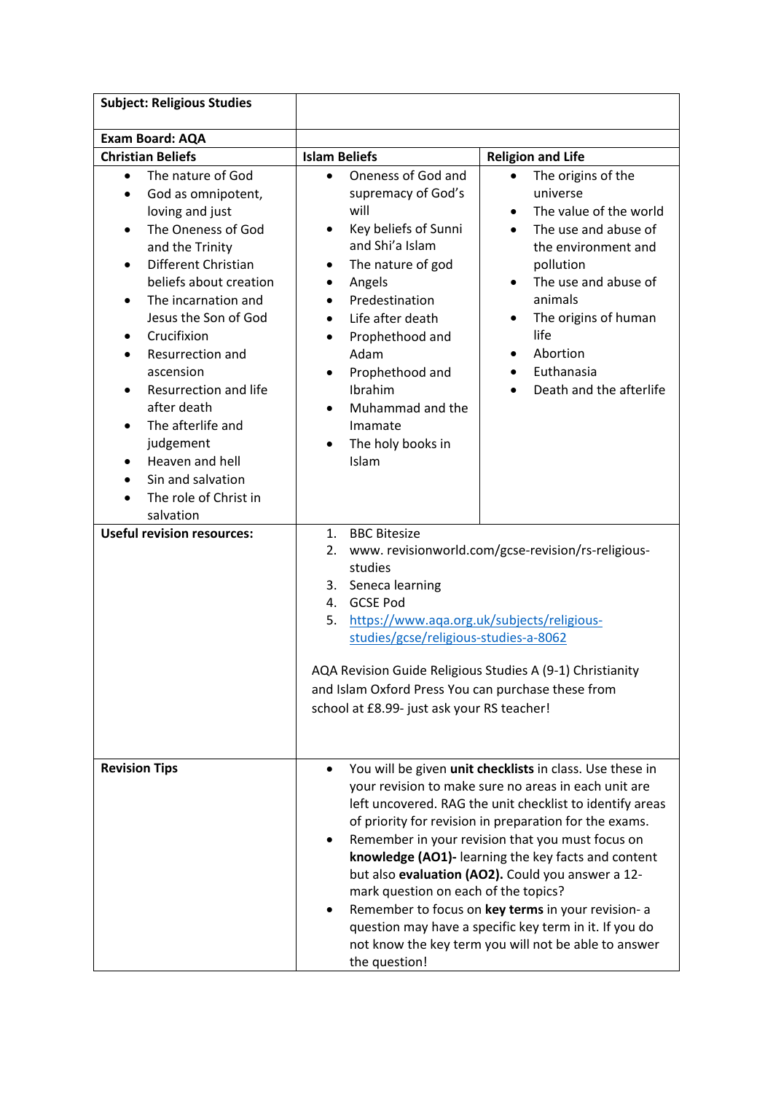| <b>Subject: Religious Studies</b>                                                                                                                                                                                                                                                                                                                                                                                                                               |                                                                                                                                                                                                                                                                                                                                                                                     |                                                                                                                                                                                                                                                                                                                                                                                                                                                                                                                                                                                |
|-----------------------------------------------------------------------------------------------------------------------------------------------------------------------------------------------------------------------------------------------------------------------------------------------------------------------------------------------------------------------------------------------------------------------------------------------------------------|-------------------------------------------------------------------------------------------------------------------------------------------------------------------------------------------------------------------------------------------------------------------------------------------------------------------------------------------------------------------------------------|--------------------------------------------------------------------------------------------------------------------------------------------------------------------------------------------------------------------------------------------------------------------------------------------------------------------------------------------------------------------------------------------------------------------------------------------------------------------------------------------------------------------------------------------------------------------------------|
| <b>Exam Board: AQA</b>                                                                                                                                                                                                                                                                                                                                                                                                                                          |                                                                                                                                                                                                                                                                                                                                                                                     |                                                                                                                                                                                                                                                                                                                                                                                                                                                                                                                                                                                |
| <b>Christian Beliefs</b>                                                                                                                                                                                                                                                                                                                                                                                                                                        | <b>Islam Beliefs</b>                                                                                                                                                                                                                                                                                                                                                                | <b>Religion and Life</b>                                                                                                                                                                                                                                                                                                                                                                                                                                                                                                                                                       |
| The nature of God<br>$\bullet$<br>God as omnipotent,<br>loving and just<br>The Oneness of God<br>and the Trinity<br>Different Christian<br>$\bullet$<br>beliefs about creation<br>The incarnation and<br>Jesus the Son of God<br>Crucifixion<br>$\bullet$<br>Resurrection and<br>ascension<br>Resurrection and life<br>$\bullet$<br>after death<br>The afterlife and<br>judgement<br>Heaven and hell<br>Sin and salvation<br>The role of Christ in<br>salvation | Oneness of God and<br>$\bullet$<br>supremacy of God's<br>will<br>Key beliefs of Sunni<br>٠<br>and Shi'a Islam<br>The nature of god<br>$\bullet$<br>Angels<br>٠<br>Predestination<br>Life after death<br>$\bullet$<br>Prophethood and<br>$\bullet$<br>Adam<br>Prophethood and<br>٠<br>Ibrahim<br>Muhammad and the<br>$\bullet$<br>Imamate<br>The holy books in<br>$\bullet$<br>Islam | The origins of the<br>universe<br>The value of the world<br>$\bullet$<br>The use and abuse of<br>$\bullet$<br>the environment and<br>pollution<br>The use and abuse of<br>animals<br>The origins of human<br>٠<br>life<br>Abortion<br>$\bullet$<br>Euthanasia<br>Death and the afterlife                                                                                                                                                                                                                                                                                       |
| <b>Useful revision resources:</b>                                                                                                                                                                                                                                                                                                                                                                                                                               | 1.<br><b>BBC Bitesize</b><br>2.<br>studies<br>3. Seneca learning<br>4. GCSE Pod<br>https://www.aqa.org.uk/subjects/religious-<br>5.<br>studies/gcse/religious-studies-a-8062<br>AQA Revision Guide Religious Studies A (9-1) Christianity<br>and Islam Oxford Press You can purchase these from<br>school at £8.99- just ask your RS teacher!                                       | www.revisionworld.com/gcse-revision/rs-religious-                                                                                                                                                                                                                                                                                                                                                                                                                                                                                                                              |
| <b>Revision Tips</b>                                                                                                                                                                                                                                                                                                                                                                                                                                            | mark question on each of the topics?<br>the question!                                                                                                                                                                                                                                                                                                                               | You will be given unit checklists in class. Use these in<br>your revision to make sure no areas in each unit are<br>left uncovered. RAG the unit checklist to identify areas<br>of priority for revision in preparation for the exams.<br>Remember in your revision that you must focus on<br>knowledge (AO1)- learning the key facts and content<br>but also evaluation (AO2). Could you answer a 12-<br>Remember to focus on key terms in your revision- a<br>question may have a specific key term in it. If you do<br>not know the key term you will not be able to answer |